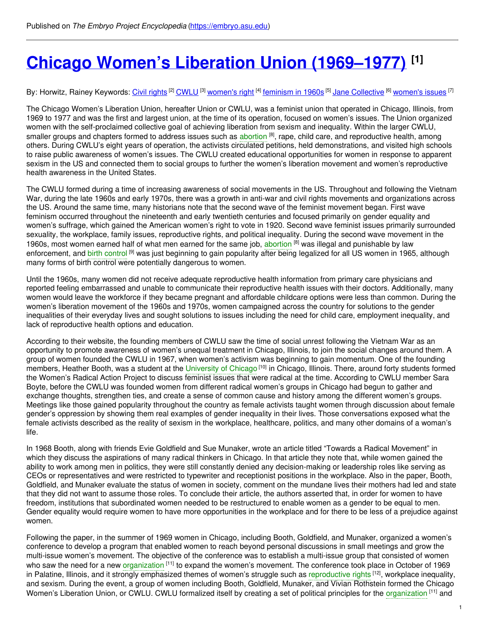# **Chicago Women's Liberation Union [\(1969–1977\)](https://embryo.asu.edu/pages/chicago-womens-liberation-union-1969-1977) [1]**

#### By: Horwitz, Rainey Keywords: <u>Civil [rights](https://embryo.asu.edu/keywords/civil-rights)</u> <sup>[2]</sup> [CWLU](https://embryo.asu.edu/keywords/cwlu) <sup>[3]</sup> <u>[women's](https://embryo.asu.edu/keywords/womens-issues) right <sup>[4]</sup> [feminism](https://embryo.asu.edu/keywords/feminism-1960s) in 1960s</u> <sup>[5]</sup> <u>Jane [Collective](https://embryo.asu.edu/keywords/jane-collective)</u> <sup>[6]</sup> <u>women's issues</u> [7]

The Chicago Women's Liberation Union, hereafter Union or CWLU, was a feminist union that operated in Chicago, Illinois, from 1969 to 1977 and was the first and largest union, at the time of its operation, focused on women's issues. The Union organized women with the self-proclaimed collective goal of achieving liberation from sexism and inequality. Within the larger CWLU, smaller groups and chapters formed to address issues such as [abortion](https://embryo.asu.edu/search?text=abortion) <sup>[8]</sup>, rape, child care, and reproductive health, among others. During CWLU's eight years of operation, the activists circulated petitions, held demonstrations, and visited high schools to raise public awareness of women's issues. The CWLU created educational opportunities for women in response to apparent sexism in the US and connected them to social groups to further the women's liberation movement and women's reproductive health awareness in the United States.

The CWLU formed during a time of increasing awareness of social movements in the US. Throughout and following the Vietnam War, during the late 1960s and early 1970s, there was a growth in anti-war and civil rights movements and organizations across the US. Around the same time, many historians note that the second wave of the feminist movement began. First wave feminism occurred throughout the nineteenth and early twentieth centuries and focused primarily on gender equality and women's suffrage, which gained the American women's right to vote in 1920. Second wave feminist issues primarily surrounded sexuality, the workplace, family issues, reproductive rights, and political inequality. During the second wave movement in the 1960s, most women earned half of what men earned for the same job, [abortion](https://embryo.asu.edu/search?text=abortion) <sup>[8]</sup> was illegal and punishable by law enforcement, and birth [control](https://embryo.asu.edu/search?text=birth%20control) <sup>[9]</sup> was just beginning to gain popularity after being legalized for all US women in 1965, although many forms of birth control were potentially dangerous to women.

Until the 1960s, many women did not receive adequate reproductive health information from primary care physicians and reported feeling embarrassed and unable to communicate their reproductive health issues with their doctors. Additionally, many women would leave the workforce if they became pregnant and affordable childcare options were less than common. During the women's liberation movement of the 1960s and 1970s, women campaigned across the country for solutions to the gender inequalities of their everyday lives and sought solutions to issues including the need for child care, employment inequality, and lack of reproductive health options and education.

According to their website, the founding members of CWLU saw the time of social unrest following the Vietnam War as an opportunity to promote awareness of women's unequal treatment in Chicago, Illinois, to join the social changes around them. A group of women founded the CWLU in 1967, when women's activism was beginning to gain momentum. One of the founding members, Heather Booth, was a student at the [University](https://embryo.asu.edu/search?text=University%20of%20Chicago) of Chicago<sup>[10]</sup> in Chicago, Illinois. There, around forty students formed the Women's Radical Action Project to discuss feminist issues that were radical at the time. According to CWLU member Sara Boyte, before the CWLU was founded women from different radical women's groups in Chicago had begun to gather and exchange thoughts, strengthen ties, and create a sense of common cause and history among the different women's groups. Meetings like those gained popularity throughout the country as female activists taught women through discussion about female gender's oppression by showing them real examples of gender inequality in their lives. Those conversations exposed what the female activists described as the reality of sexism in the workplace, healthcare, politics, and many other domains of a woman's life.

In 1968 Booth, along with friends Evie Goldfield and Sue Munaker, wrote an article titled "Towards a Radical Movement" in which they discuss the aspirations of many radical thinkers in Chicago. In that article they note that, while women gained the ability to work among men in politics, they were still constantly denied any decision-making or leadership roles like serving as CEOs or representatives and were restricted to typewriter and receptionist positions in the workplace. Also in the paper, Booth, Goldfield, and Munaker evaluate the status of women in society, comment on the mundane lives their mothers had led and state that they did not want to assume those roles. To conclude their article, the authors asserted that, in order for women to have freedom, institutions that subordinated women needed to be restructured to enable women as a gender to be equal to men. Gender equality would require women to have more opportunities in the workplace and for there to be less of a prejudice against women.

Following the paper, in the summer of 1969 women in Chicago, including Booth, Goldfield, and Munaker, organized a women's conference to develop a program that enabled women to reach beyond personal discussions in small meetings and grow the multi-issue women's movement. The objective of the conference was to establish a multi-issue group that consisted of women who saw the need for a new [organization](https://embryo.asu.edu/search?text=organization) <sup>[11]</sup> to expand the women's movement. The conference took place in October of 1969 in Palatine, Illinois, and it strongly emphasized themes of women's struggle such as [reproductive](https://embryo.asu.edu/search?text=reproductive%20rights) rights <sup>[12]</sup>, workplace inequality, and sexism. During the event, a group of women including Booth, Goldfield, Munaker, and Vivian Rothstein formed the Chicago Women's Liberation Union, or CWLU. CWLU formalized itself by creating a set of political principles for the [organization](https://embryo.asu.edu/search?text=organization) <sup>[11]</sup> and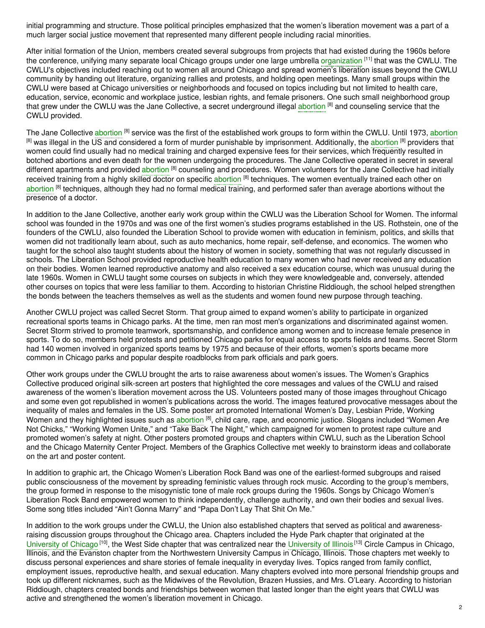initial programming and structure. Those political principles emphasized that the women's liberation movement was a part of a much larger social justice movement that represented many different people including racial minorities.

After initial formation of the Union, members created several subgroups from projects that had existed during the 1960s before the conference, unifying many separate local Chicago groups under one large umbrella [organization](https://embryo.asu.edu/search?text=organization) <sup>[11]</sup> that was the CWLU. The CWLU's objectives included reaching out to women all around Chicago and spread women's liberation issues beyond the CWLU community by handing out literature, organizing rallies and protests, and holding open meetings. Many small groups within the CWLU were based at Chicago universities or neighborhoods and focused on topics including but not limited to health care, education, service, economic and workplace justice, lesbian rights, and female prisoners. One such small neighborhood group that grew under the CWLU was the Jane Collective, a secret underground illegal [abortion](https://embryo.asu.edu/search?text=abortion) <sup>[8]</sup> and counseling service that the CWLU provided.

The Jane Collective [abortion](https://embryo.asu.edu/search?text=abortion) <sup>[8]</sup> service was the first of the established work groups to form within the CWLU. Until 1973, abortion <sup>[8]</sup> was illegal in the US and considered a form of murder punishable by imprisonment. Additionally, the [abortion](https://embryo.asu.edu/search?text=abortion) <sup>[8]</sup> providers that women could find usually had no medical training and charged expensive fees for their services, which frequently resulted in botched abortions and even death for the women undergoing the procedures. The Jane Collective operated in secret in several different apartments and provided [abortion](https://embryo.asu.edu/search?text=abortion) <sup>[8]</sup> counseling and procedures. Women volunteers for the Jane Collective had initially received training from a highly skilled doctor on specific [abortion](https://embryo.asu.edu/search?text=abortion) <sup>[8]</sup> techniques. The women eventually trained each other on [abortion](https://embryo.asu.edu/search?text=abortion) <sup>[8]</sup> techniques, although they had no formal medical training, and performed safer than average abortions without the presence of a doctor.

In addition to the Jane Collective, another early work group within the CWLU was the Liberation School for Women. The informal school was founded in the 1970s and was one of the first women's studies programs established in the US. Rothstein, one of the founders of the CWLU, also founded the Liberation School to provide women with education in feminism, politics, and skills that women did not traditionally learn about, such as auto mechanics, home repair, self-defense, and economics. The women who taught for the school also taught students about the history of women in society, something that was not regularly discussed in schools. The Liberation School provided reproductive health education to many women who had never received any education on their bodies. Women learned reproductive anatomy and also received a sex education course, which was unusual during the late 1960s. Women in CWLU taught some courses on subjects in which they were knowledgeable and, conversely, attended other courses on topics that were less familiar to them. According to historian Christine Riddiough, the school helped strengthen the bonds between the teachers themselves as well as the students and women found new purpose through teaching.

Another CWLU project was called Secret Storm. That group aimed to expand women's ability to participate in organized recreational sports teams in Chicago parks. At the time, men ran most men's organizations and discriminated against women. Secret Storm strived to promote teamwork, sportsmanship, and confidence among women and to increase female presence in sports. To do so, members held protests and petitioned Chicago parks for equal access to sports fields and teams. Secret Storm had 140 women involved in organized sports teams by 1975 and because of their efforts, women's sports became more common in Chicago parks and popular despite roadblocks from park officials and park goers.

Other work groups under the CWLU brought the arts to raise awareness about women's issues. The Women's Graphics Collective produced original silk-screen art posters that highlighted the core messages and values of the CWLU and raised awareness of the women's liberation movement across the US. Volunteers posted many of those images throughout Chicago and some even got republished in women's publications across the world. The images featured provocative messages about the inequality of males and females in the US. Some poster art promoted International Women's Day, Lesbian Pride, Working Women and they highlighted issues such as [abortion](https://embryo.asu.edu/search?text=abortion) <sup>[8]</sup>, child care, rape, and economic justice. Slogans included "Women Are Not Chicks," "Working Women Unite," and "Take Back The Night," which campaigned for women to protest rape culture and promoted women's safety at night. Other posters promoted groups and chapters within CWLU, such as the Liberation School and the Chicago Maternity Center Project. Members of the Graphics Collective met weekly to brainstorm ideas and collaborate on the art and poster content.

In addition to graphic art, the Chicago Women's Liberation Rock Band was one of the earliest-formed subgroups and raised public consciousness of the movement by spreading feministic values through rock music. According to the group's members, the group formed in response to the misogynistic tone of male rock groups during the 1960s. Songs by Chicago Women's Liberation Rock Band empowered women to think independently, challenge authority, and own their bodies and sexual lives. Some song titles included "Ain't Gonna Marry" and "Papa Don't Lay That Shit On Me."

In addition to the work groups under the CWLU, the Union also established chapters that served as political and awarenessraising discussion groups throughout the Chicago area. Chapters included the Hyde Park chapter that originated at the [University](https://embryo.asu.edu/search?text=University%20of%20Illinois) of Chicago<sup>[10]</sup>, the West Side chapter that was centralized near the University of Illinois<sup>[13]</sup> Circle Campus in Chicago, Illinois, and the Evanston chapter from the Northwestern University Campus in Chicago, Illinois. Those chapters met weekly to discuss personal experiences and share stories of female inequality in everyday lives. Topics ranged from family conflict, employment issues, reproductive health, and sexual education. Many chapters evolved into more personal friendship groups and took up different nicknames, such as the Midwives of the Revolution, Brazen Hussies, and Mrs. O'Leary. According to historian Riddiough, chapters created bonds and friendships between women that lasted longer than the eight years that CWLU was active and strengthened the women's liberation movement in Chicago.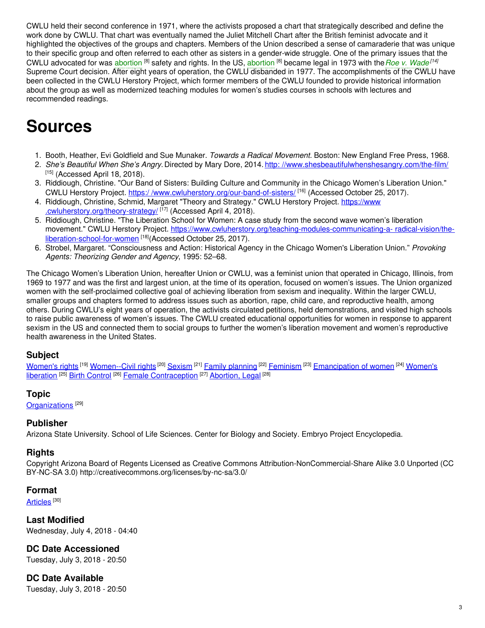CWLU held their second conference in 1971, where the activists proposed a chart that strategically described and define the work done by CWLU. That chart was eventually named the Juliet Mitchell Chart after the British feminist advocate and it highlighted the objectives of the groups and chapters. Members of the Union described a sense of camaraderie that was unique to their specific group and often referred to each other as sisters in a gender-wide struggle. One of the primary issues that the CWLU advocated for was [abortion](https://embryo.asu.edu/search?text=abortion) <sup>[8]</sup> safety and rights. In the US, abortion <sup>[8]</sup> became legal in 1973 with the Roe v. [Wade](https://embryo.asu.edu/search?text=Roe%20v.%20Wade)<sup>[14]</sup> Supreme Court decision. After eight years of operation, the CWLU disbanded in 1977. The accomplishments of the CWLU have been collected in the CWLU Herstory Project, which former members of the CWLU founded to provide historical information about the group as well as modernized teaching modules for women's studies courses in schools with lectures and recommended readings.

## **Sources**

- 1. Booth, Heather, Evi Goldfield and Sue Munaker. *Towards a Radical Movement.* Boston: New England Free Press, 1968.
- 2. *She's Beautiful When She's Angry.* Directed by Mary Dore, 2014. http: [//www.shesbeautifulwhenshesangry.com/the-film/](http://www.shesbeautifulwhenshesangry.com/the-film/)  $[15]$  (Accessed April 18, 2018).
- 3. Riddiough, Christine. "Our Band of Sisters: Building Culture and Community in the Chicago Women's Liberation Union." CWLU Herstory Project. https:/[/www.cwluherstory.org/our-band-of-sisters/](https://www.cwluherstory.org/our-band-of-sisters/) <sup>[16]</sup> (Accessed October 25, 2017).
- 4. Riddiough, Christine, Schmid, Margaret "Theory and Strategy." CWLU Herstory Project. https://www [.cwluherstory.org/theory-strategy/](https://www.cwluherstory.org/theory-strategy/) [17] (Accessed April 4, 2018).
- 5. Riddiough, Christine. "The Liberation School for Women: A case study from the second wave women's liberation movement." CWLU Herstory Project. [https://www.cwluherstory.org/teaching-modules-communicating-a-](https://www.cwluherstory.org/teaching-modules-%0A%09%09communicating-a-radical-vision/the-liberation-school-for-women) radical-vision/theliberation-school-for-women [<sup>18]</sup>(Accessed October 25, 2017).
- 6. Strobel, Margaret. "Consciousness and Action: Historical Agency in the Chicago Women's Liberation Union." *Provoking Agents: Theorizing Gender and Agency*, 1995: 52–68.

The Chicago Women's Liberation Union, hereafter Union or CWLU, was a feminist union that operated in Chicago, Illinois, from 1969 to 1977 and was the first and largest union, at the time of its operation, focused on women's issues. The Union organized women with the self-proclaimed collective goal of achieving liberation from sexism and inequality. Within the larger CWLU, smaller groups and chapters formed to address issues such as abortion, rape, child care, and reproductive health, among others. During CWLU's eight years of operation, the activists circulated petitions, held demonstrations, and visited high schools to raise public awareness of women's issues. The CWLU created educational opportunities for women in response to apparent sexism in the US and connected them to social groups to further the women's liberation movement and women's reproductive health awareness in the United States.

## **Subject**

[Women's](https://embryo.asu.edu/library-congress-subject-headings/womens-rights) rights <sup>[19]</sup> [Women--Civil](https://embryo.asu.edu/library-congress-subject-headings/women-civil-rights) rights <sup>[20]</sup> [Sexism](https://embryo.asu.edu/library-congress-subject-headings/sexism) <sup>[21]</sup> Family [planning](https://embryo.asu.edu/library-congress-subject-headings/family-planning) <sup>[22]</sup> [Feminism](https://embryo.asu.edu/library-congress-subject-headings/feminism) <sup>[23]</sup> [Emancipation](https://embryo.asu.edu/library-congress-subject-headings/womens-liberation) of women <sup>[24]</sup> Women's liberation <sup>[25]</sup> Birth [Control](https://embryo.asu.edu/medical-subject-headings/birth-control) <sup>[26]</sup> Female [Contraception](https://embryo.asu.edu/medical-subject-headings/female-contraception) <sup>[27]</sup> [Abortion,](https://embryo.asu.edu/medical-subject-headings/abortion-legal) Legal <sup>[28]</sup>

### **Topic**

[Organizations](https://embryo.asu.edu/topics/organizations)<sup>[29]</sup>

### **Publisher**

Arizona State University. School of Life Sciences. Center for Biology and Society. Embryo Project Encyclopedia.

### **Rights**

Copyright Arizona Board of Regents Licensed as Creative Commons Attribution-NonCommercial-Share Alike 3.0 Unported (CC BY-NC-SA 3.0) http://creativecommons.org/licenses/by-nc-sa/3.0/

### **Format**

[Articles](https://embryo.asu.edu/formats/articles)  $^{\rm [30]}$ 

**Last Modified** Wednesday, July 4, 2018 - 04:40

### **DC Date Accessioned**

Tuesday, July 3, 2018 - 20:50

## **DC Date Available**

Tuesday, July 3, 2018 - 20:50